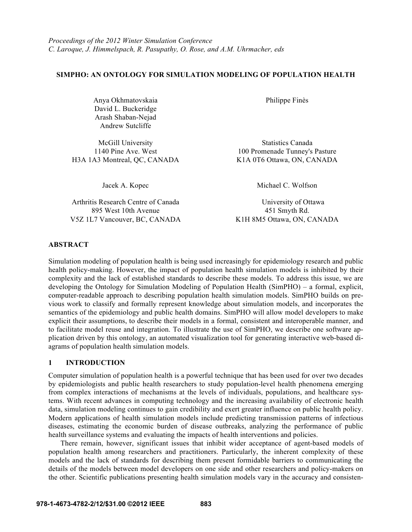### **SIMPHO: AN ONTOLOGY FOR SIMULATION MODELING OF POPULATION HEALTH**

Anya Okhmatovskaia Philippe Finès David L. Buckeridge Arash Shaban-Nejad Andrew Sutcliffe

McGill University Statistics Canada H3A 1A3 Montreal, QC, CANADA K1A 0T6 Ottawa, ON, CANADA

Arthritis Research Centre of Canada University of Ottawa 895 West 10th Avenue 451 Smyth Rd. V5Z 1L7 Vancouver, BC, CANADA K1H 8M5 Ottawa, ON, CANADA

1140 Pine Ave. West 100 Promenade Tunney's Pasture

Jacek A. Kopec Michael C. Wolfson

### **ABSTRACT**

Simulation modeling of population health is being used increasingly for epidemiology research and public health policy-making. However, the impact of population health simulation models is inhibited by their complexity and the lack of established standards to describe these models. To address this issue, we are developing the Ontology for Simulation Modeling of Population Health (SimPHO) – a formal, explicit, computer-readable approach to describing population health simulation models. SimPHO builds on previous work to classify and formally represent knowledge about simulation models, and incorporates the semantics of the epidemiology and public health domains. SimPHO will allow model developers to make explicit their assumptions, to describe their models in a formal, consistent and interoperable manner, and to facilitate model reuse and integration. To illustrate the use of SimPHO, we describe one software application driven by this ontology, an automated visualization tool for generating interactive web-based diagrams of population health simulation models.

### **1 INTRODUCTION**

Computer simulation of population health is a powerful technique that has been used for over two decades by epidemiologists and public health researchers to study population-level health phenomena emerging from complex interactions of mechanisms at the levels of individuals, populations, and healthcare systems. With recent advances in computing technology and the increasing availability of electronic health data, simulation modeling continues to gain credibility and exert greater influence on public health policy. Modern applications of health simulation models include predicting transmission patterns of infectious diseases, estimating the economic burden of disease outbreaks, analyzing the performance of public health surveillance systems and evaluating the impacts of health interventions and policies.

There remain, however, significant issues that inhibit wider acceptance of agent-based models of population health among researchers and practitioners. Particularly, the inherent complexity of these models and the lack of standards for describing them present formidable barriers to communicating the details of the models between model developers on one side and other researchers and policy-makers on the other. Scientific publications presenting health simulation models vary in the accuracy and consisten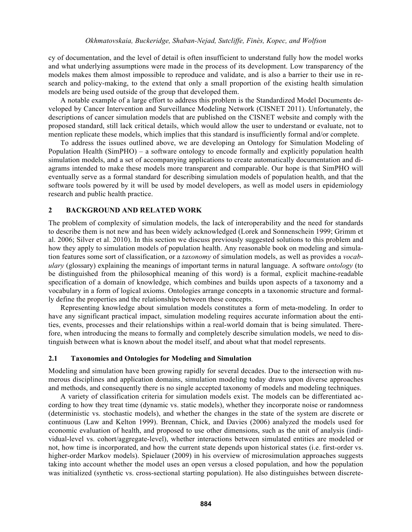cy of documentation, and the level of detail is often insufficient to understand fully how the model works and what underlying assumptions were made in the process of its development. Low transparency of the models makes them almost impossible to reproduce and validate, and is also a barrier to their use in research and policy-making, to the extend that only a small proportion of the existing health simulation models are being used outside of the group that developed them.

A notable example of a large effort to address this problem is the Standardized Model Documents developed by Cancer Intervention and Surveillance Modeling Network (CISNET 2011). Unfortunately, the descriptions of cancer simulation models that are published on the CISNET website and comply with the proposed standard, still lack critical details, which would allow the user to understand or evaluate, not to mention replicate these models, which implies that this standard is insufficiently formal and/or complete.

To address the issues outlined above, we are developing an Ontology for Simulation Modeling of Population Health (SimPHO) – a software ontology to encode formally and explicitly population health simulation models, and a set of accompanying applications to create automatically documentation and diagrams intended to make these models more transparent and comparable. Our hope is that SimPHO will eventually serve as a formal standard for describing simulation models of population health, and that the software tools powered by it will be used by model developers, as well as model users in epidemiology research and public health practice.

### **2 BACKGROUND AND RELATED WORK**

The problem of complexity of simulation models, the lack of interoperability and the need for standards to describe them is not new and has been widely acknowledged (Lorek and Sonnenschein 1999; Grimm et al. 2006; Silver et al. 2010). In this section we discuss previously suggested solutions to this problem and how they apply to simulation models of population health. Any reasonable book on modeling and simulation features some sort of classification, or a *taxonomy* of simulation models, as well as provides a *vocabulary* (glossary) explaining the meanings of important terms in natural language. A software *ontology* (to be distinguished from the philosophical meaning of this word) is a formal, explicit machine-readable specification of a domain of knowledge, which combines and builds upon aspects of a taxonomy and a vocabulary in a form of logical axioms. Ontologies arrange concepts in a taxonomic structure and formally define the properties and the relationships between these concepts.

Representing knowledge about simulation models constitutes a form of meta-modeling. In order to have any significant practical impact, simulation modeling requires accurate information about the entities, events, processes and their relationships within a real-world domain that is being simulated. Therefore, when introducing the means to formally and completely describe simulation models, we need to distinguish between what is known about the model itself, and about what that model represents.

### **2.1 Taxonomies and Ontologies for Modeling and Simulation**

Modeling and simulation have been growing rapidly for several decades. Due to the intersection with numerous disciplines and application domains, simulation modeling today draws upon diverse approaches and methods, and consequently there is no single accepted taxonomy of models and modeling techniques.

A variety of classification criteria for simulation models exist. The models can be differentiated according to how they treat time (dynamic vs. static models), whether they incorporate noise or randomness (deterministic vs. stochastic models), and whether the changes in the state of the system are discrete or continuous (Law and Kelton 1999). Brennan, Chick, and Davies (2006) analyzed the models used for economic evaluation of health, and proposed to use other dimensions, such as the unit of analysis (individual-level vs. cohort/aggregate-level), whether interactions between simulated entities are modeled or not, how time is incorporated, and how the current state depends upon historical states (i.e. first-order vs. higher-order Markov models). Spielauer (2009) in his overview of microsimulation approaches suggests taking into account whether the model uses an open versus a closed population, and how the population was initialized (synthetic vs. cross-sectional starting population). He also distinguishes between discrete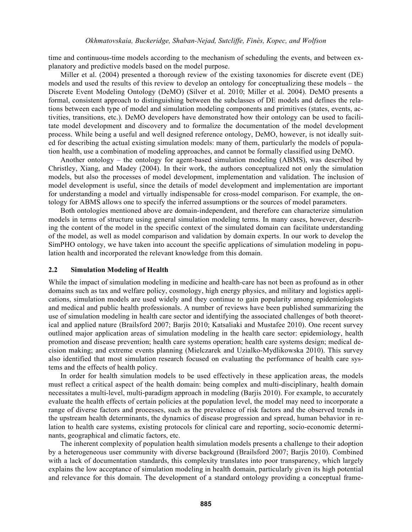time and continuous-time models according to the mechanism of scheduling the events, and between explanatory and predictive models based on the model purpose.

Miller et al. (2004) presented a thorough review of the existing taxonomies for discrete event (DE) models and used the results of this review to develop an ontology for conceptualizing these models – the Discrete Event Modeling Ontology (DeMO) (Silver et al. 2010; Miller et al. 2004). DeMO presents a formal, consistent approach to distinguishing between the subclasses of DE models and defines the relations between each type of model and simulation modeling components and primitives (states, events, activities, transitions, etc.). DeMO developers have demonstrated how their ontology can be used to facilitate model development and discovery and to formalize the documentation of the model development process. While being a useful and well designed reference ontology, DeMO, however, is not ideally suited for describing the actual existing simulation models: many of them, particularly the models of population health, use a combination of modeling approaches, and cannot be formally classified using DeMO.

Another ontology – the ontology for agent-based simulation modeling (ABMS), was described by Christley, Xiang, and Madey (2004). In their work, the authors conceptualized not only the simulation models, but also the processes of model development, implementation and validation. The inclusion of model development is useful, since the details of model development and implementation are important for understanding a model and virtually indispensable for cross-model comparison. For example, the ontology for ABMS allows one to specify the inferred assumptions or the sources of model parameters.

Both ontologies mentioned above are domain-independent, and therefore can characterize simulation models in terms of structure using general simulation modeling terms. In many cases, however, describing the content of the model in the specific context of the simulated domain can facilitate understanding of the model, as well as model comparison and validation by domain experts. In our work to develop the SimPHO ontology, we have taken into account the specific applications of simulation modeling in population health and incorporated the relevant knowledge from this domain.

### **2.2 Simulation Modeling of Health**

While the impact of simulation modeling in medicine and health-care has not been as profound as in other domains such as tax and welfare policy, cosmology, high energy physics, and military and logistics applications, simulation models are used widely and they continue to gain popularity among epidemiologists and medical and public health professionals. A number of reviews have been published summarizing the use of simulation modeling in health care sector and identifying the associated challenges of both theoretical and applied nature (Brailsford 2007; Barjis 2010; Katsaliaki and Mustafee 2010). One recent survey outlined major application areas of simulation modeling in the health care sector: epidemiology, health promotion and disease prevention; health care systems operation; health care systems design; medical decision making; and extreme events planning (Mielczarek and Uzialko-Mydlikowska 2010). This survey also identified that most simulation research focused on evaluating the performance of health care systems and the effects of health policy.

In order for health simulation models to be used effectively in these application areas, the models must reflect a critical aspect of the health domain: being complex and multi-disciplinary, health domain necessitates a multi-level, multi-paradigm approach in modeling (Barjis 2010). For example, to accurately evaluate the health effects of certain policies at the population level, the model may need to incorporate a range of diverse factors and processes, such as the prevalence of risk factors and the observed trends in the upstream health determinants, the dynamics of disease progression and spread, human behavior in relation to health care systems, existing protocols for clinical care and reporting, socio-economic determinants, geographical and climatic factors, etc.

The inherent complexity of population health simulation models presents a challenge to their adoption by a heterogeneous user community with diverse background (Brailsford 2007; Barjis 2010). Combined with a lack of documentation standards, this complexity translates into poor transparency, which largely explains the low acceptance of simulation modeling in health domain, particularly given its high potential and relevance for this domain. The development of a standard ontology providing a conceptual frame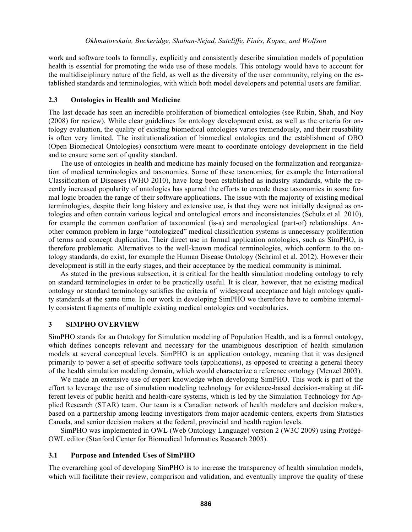work and software tools to formally, explicitly and consistently describe simulation models of population health is essential for promoting the wide use of these models. This ontology would have to account for the multidisciplinary nature of the field, as well as the diversity of the user community, relying on the established standards and terminologies, with which both model developers and potential users are familiar.

### **2.3 Ontologies in Health and Medicine**

The last decade has seen an incredible proliferation of biomedical ontologies (see Rubin, Shah, and Noy (2008) for review). While clear guidelines for ontology development exist, as well as the criteria for ontology evaluation, the quality of existing biomedical ontologies varies tremendously, and their reusability is often very limited. The institutionalization of biomedical ontologies and the establishment of OBO (Open Biomedical Ontologies) consortium were meant to coordinate ontology development in the field and to ensure some sort of quality standard.

The use of ontologies in health and medicine has mainly focused on the formalization and reorganization of medical terminologies and taxonomies. Some of these taxonomies, for example the International Classification of Diseases (WHO 2010), have long been established as industry standards, while the recently increased popularity of ontologies has spurred the efforts to encode these taxonomies in some formal logic broaden the range of their software applications. The issue with the majority of existing medical terminologies, despite their long history and extensive use, is that they were not initially designed as ontologies and often contain various logical and ontological errors and inconsistencies (Schulz et al. 2010), for example the common conflation of taxonomical (is-a) and mereological (part-of) relationships. Another common problem in large "ontologized" medical classification systems is unnecessary proliferation of terms and concept duplication. Their direct use in formal application ontologies, such as SimPHO, is therefore problematic. Alternatives to the well-known medical terminologies, which conform to the ontology standards, do exist, for example the Human Disease Ontology (Schriml et al. 2012). However their development is still in the early stages, and their acceptance by the medical community is minimal.

As stated in the previous subsection, it is critical for the health simulation modeling ontology to rely on standard terminologies in order to be practically useful. It is clear, however, that no existing medical ontology or standard terminology satisfies the criteria of widespread acceptance and high ontology quality standards at the same time. In our work in developing SimPHO we therefore have to combine internally consistent fragments of multiple existing medical ontologies and vocabularies.

### **3 SIMPHO OVERVIEW**

SimPHO stands for an Ontology for Simulation modeling of Population Health, and is a formal ontology, which defines concepts relevant and necessary for the unambiguous description of health simulation models at several conceptual levels. SimPHO is an application ontology, meaning that it was designed primarily to power a set of specific software tools (applications), as opposed to creating a general theory of the health simulation modeling domain, which would characterize a reference ontology (Menzel 2003).

We made an extensive use of expert knowledge when developing SimPHO. This work is part of the effort to leverage the use of simulation modeling technology for evidence-based decision-making at different levels of public health and health-care systems, which is led by the Simulation Technology for Applied Research (STAR) team. Our team is a Canadian network of health modelers and decision makers, based on a partnership among leading investigators from major academic centers, experts from Statistics Canada, and senior decision makers at the federal, provincial and health region levels.

SimPHO was implemented in OWL (Web Ontology Language) version 2 (W3C 2009) using Protégé-OWL editor (Stanford Center for Biomedical Informatics Research 2003).

### **3.1 Purpose and Intended Uses of SimPHO**

The overarching goal of developing SimPHO is to increase the transparency of health simulation models, which will facilitate their review, comparison and validation, and eventually improve the quality of these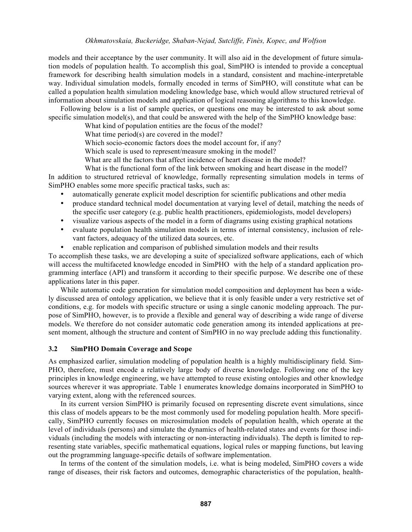models and their acceptance by the user community. It will also aid in the development of future simulation models of population health. To accomplish this goal, SimPHO is intended to provide a conceptual framework for describing health simulation models in a standard, consistent and machine-interpretable way. Individual simulation models, formally encoded in terms of SimPHO, will constitute what can be called a population health simulation modeling knowledge base, which would allow structured retrieval of information about simulation models and application of logical reasoning algorithms to this knowledge.

Following below is a list of sample queries, or questions one may be interested to ask about some specific simulation model(s), and that could be answered with the help of the SimPHO knowledge base:

What kind of population entities are the focus of the model?

What time period(s) are covered in the model?

Which socio-economic factors does the model account for, if any?

Which scale is used to represent/measure smoking in the model?

What are all the factors that affect incidence of heart disease in the model?

What is the functional form of the link between smoking and heart disease in the model?

In addition to structured retrieval of knowledge, formally representing simulation models in terms of SimPHO enables some more specific practical tasks, such as:

- automatically generate explicit model description for scientific publications and other media
- produce standard technical model documentation at varying level of detail, matching the needs of the specific user category (e.g. public health practitioners, epidemiologists, model developers)
- visualize various aspects of the model in a form of diagrams using existing graphical notations
- evaluate population health simulation models in terms of internal consistency, inclusion of relevant factors, adequacy of the utilized data sources, etc.
- enable replication and comparison of published simulation models and their results

To accomplish these tasks, we are developing a suite of specialized software applications, each of which will access the multifaceted knowledge encoded in SimPHO with the help of a standard application programming interface (API) and transform it according to their specific purpose. We describe one of these applications later in this paper.

While automatic code generation for simulation model composition and deployment has been a widely discussed area of ontology application, we believe that it is only feasible under a very restrictive set of conditions, e.g. for models with specific structure or using a single canonic modeling approach. The purpose of SimPHO, however, is to provide a flexible and general way of describing a wide range of diverse models. We therefore do not consider automatic code generation among its intended applications at present moment, although the structure and content of SimPHO in no way preclude adding this functionality.

#### **3.2 SimPHO Domain Coverage and Scope**

As emphasized earlier, simulation modeling of population health is a highly multidisciplinary field. Sim-PHO, therefore, must encode a relatively large body of diverse knowledge. Following one of the key principles in knowledge engineering, we have attempted to reuse existing ontologies and other knowledge sources wherever it was appropriate. Table 1 enumerates knowledge domains incorporated in SimPHO to varying extent, along with the referenced sources.

In its current version SimPHO is primarily focused on representing discrete event simulations, since this class of models appears to be the most commonly used for modeling population health. More specifically, SimPHO currently focuses on microsimulation models of population health, which operate at the level of individuals (persons) and simulate the dynamics of health-related states and events for those individuals (including the models with interacting or non-interacting individuals). The depth is limited to representing state variables, specific mathematical equations, logical rules or mapping functions, but leaving out the programming language-specific details of software implementation.

In terms of the content of the simulation models, i.e. what is being modeled, SimPHO covers a wide range of diseases, their risk factors and outcomes, demographic characteristics of the population, health-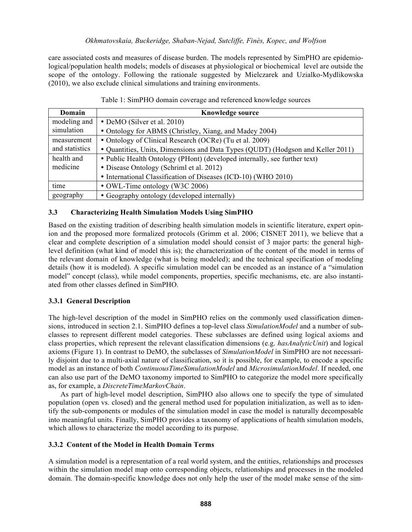care associated costs and measures of disease burden. The models represented by SimPHO are epidemiological/population health models; models of diseases at physiological or biochemical level are outside the scope of the ontology. Following the rationale suggested by Mielczarek and Uzialko-Mydlikowska (2010), we also exclude clinical simulations and training environments.

| Domain         | <b>Knowledge source</b>                                                         |
|----------------|---------------------------------------------------------------------------------|
| modeling and   | • DeMO (Silver et al. 2010)                                                     |
| simulation     | • Ontology for ABMS (Christley, Xiang, and Madey 2004)                          |
| measurement    | • Ontology of Clinical Research (OCRe) (Tu et al. 2009)                         |
| and statistics | • Quantities, Units, Dimensions and Data Types (QUDT) (Hodgson and Keller 2011) |
| health and     | • Public Health Ontology (PHont) (developed internally, see further text)       |
| medicine       | • Disease Ontology (Schriml et al. 2012)                                        |
|                | • International Classification of Diseases (ICD-10) (WHO 2010)                  |
| time           | • OWL-Time ontology (W3C 2006)                                                  |
| geography      | • Geography ontology (developed internally)                                     |

### Table 1: SimPHO domain coverage and referenced knowledge sources

## **3.3 Characterizing Health Simulation Models Using SimPHO**

Based on the existing tradition of describing health simulation models in scientific literature, expert opinion and the proposed more formalized protocols (Grimm et al. 2006; CISNET 2011), we believe that a clear and complete description of a simulation model should consist of 3 major parts: the general highlevel definition (what kind of model this is); the characterization of the content of the model in terms of the relevant domain of knowledge (what is being modeled); and the technical specification of modeling details (how it is modeled). A specific simulation model can be encoded as an instance of a "simulation model" concept (class), while model components, properties, specific mechanisms, etc. are also instantiated from other classes defined in SimPHO.

### **3.3.1 General Description**

The high-level description of the model in SimPHO relies on the commonly used classification dimensions, introduced in section 2.1. SimPHO defines a top-level class *SimulationModel* and a number of subclasses to represent different model categories. These subclasses are defined using logical axioms and class properties, which represent the relevant classification dimensions (e.g. *hasAnalyticUnit*) and logical axioms (Figure 1). In contrast to DeMO, the subclasses of *SimulationModel* in SimPHO are not necessarily disjoint due to a multi-axial nature of classification, so it is possible, for example, to encode a specific model as an instance of both *ContinuousTimeSimulationModel* and *MicrosimulationModel*. If needed, one can also use part of the DeMO taxonomy imported to SimPHO to categorize the model more specifically as, for example, a *DiscreteTimeMarkovChain*.

As part of high-level model description, SimPHO also allows one to specify the type of simulated population (open vs. closed) and the general method used for population initialization, as well as to identify the sub-components or modules of the simulation model in case the model is naturally decomposable into meaningful units. Finally, SimPHO provides a taxonomy of applications of health simulation models, which allows to characterize the model according to its purpose.

### **3.3.2 Content of the Model in Health Domain Terms**

A simulation model is a representation of a real world system, and the entities, relationships and processes within the simulation model map onto corresponding objects, relationships and processes in the modeled domain. The domain-specific knowledge does not only help the user of the model make sense of the sim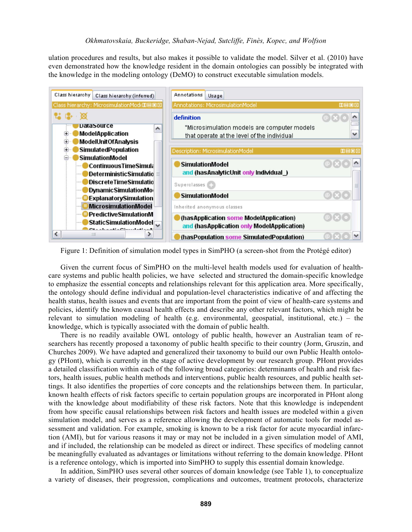ulation procedures and results, but also makes it possible to validate the model. Silver et al. (2010) have even demonstrated how the knowledge resident in the domain ontologies can possibly be integrated with the knowledge in the modeling ontology (DeMO) to construct executable simulation models.



Figure 1: Definition of simulation model types in SimPHO (a screen-shot from the Protégé editor)

Given the current focus of SimPHO on the multi-level health models used for evaluation of healthcare systems and public health policies, we have selected and structured the domain-specific knowledge to emphasize the essential concepts and relationships relevant for this application area. More specifically, the ontology should define individual and population-level characteristics indicative of and affecting the health status, health issues and events that are important from the point of view of health-care systems and policies, identify the known causal health effects and describe any other relevant factors, which might be relevant to simulation modeling of health (e.g. environmental, geospatial, institutional, etc.) – the knowledge, which is typically associated with the domain of public health.

There is no readily available OWL ontology of public health, however an Australian team of researchers has recently proposed a taxonomy of public health specific to their country (Jorm, Gruszin, and Churches 2009). We have adapted and generalized their taxonomy to build our own Public Health ontology (PHont), which is currently in the stage of active development by our research group. PHont provides a detailed classification within each of the following broad categories: determinants of health and risk factors, health issues, public health methods and interventions, public health resources, and public health settings. It also identifies the properties of core concepts and the relationships between them. In particular, known health effects of risk factors specific to certain population groups are incorporated in PHont along with the knowledge about modifiability of these risk factors. Note that this knowledge is independent from how specific causal relationships between risk factors and health issues are modeled within a given simulation model, and serves as a reference allowing the development of automatic tools for model assessment and validation. For example, smoking is known to be a risk factor for acute myocardial infarction (AMI), but for various reasons it may or may not be included in a given simulation model of AMI, and if included, the relationship can be modeled as direct or indirect. These specifics of modeling cannot be meaningfully evaluated as advantages or limitations without referring to the domain knowledge. PHont is a reference ontology, which is imported into SimPHO to supply this essential domain knowledge.

In addition, SimPHO uses several other sources of domain knowledge (see Table 1), to conceptualize a variety of diseases, their progression, complications and outcomes, treatment protocols, characterize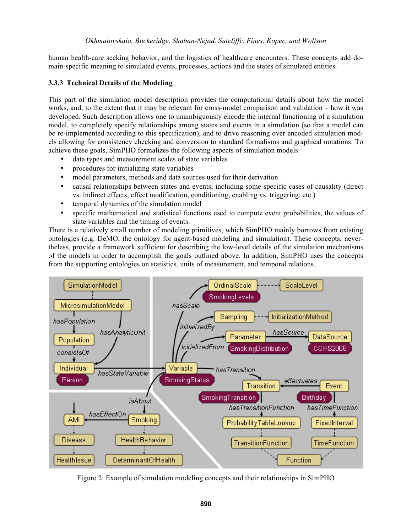human health-care seeking behavior, and the logistics of healthcare encounters. These concepts add domain-specific meaning to simulated events, processes, actions and the states of simulated entities.

# **3.3.3 Technical Details of the Modeling**

This part of the simulation model description provides the computational details about how the model works, and, to the extent that it may be relevant for cross-model comparison and validation – how it was developed. Such description allows one to unambiguously encode the internal functioning of a simulation model, to completely specify relationships among states and events in a simulation (so that a model can be re-implemented according to this specification), and to drive reasoning over encoded simulation models allowing for consistency checking and conversion to standard formalisms and graphical notations. To achieve these goals, SimPHO formalizes the following aspects of simulation models:

- data types and measurement scales of state variables
- procedures for initializing state variables
- model parameters, methods and data sources used for their derivation
- causal relationships between states and events, including some specific cases of causality (direct vs. indirect effects, effect modification, conditioning, enabling vs. triggering, etc.)
- temporal dynamics of the simulation model
- specific mathematical and statistical functions used to compute event probabilities, the values of state variables and the timing of events.

There is a relatively small number of modeling primitives, which SimPHO mainly borrows from existing ontologies (e.g. DeMO, the ontology for agent-based modeling and simulation). These concepts, nevertheless, provide a framework sufficient for describing the low-level details of the simulation mechanisms of the models in order to accomplish the goals outlined above. In addition, SimPHO uses the concepts from the supporting ontologies on statistics, units of measurement, and temporal relations.



Figure 2: Example of simulation modeling concepts and their relationships in SimPHO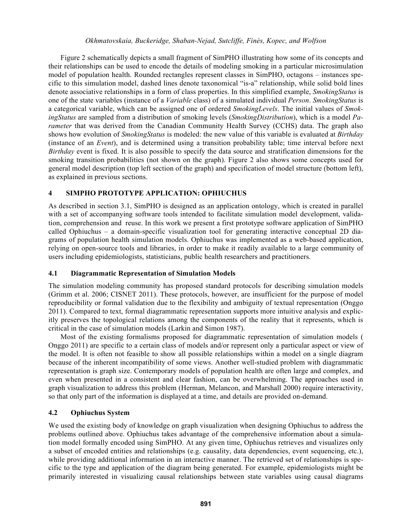Figure 2 schematically depicts a small fragment of SimPHO illustrating how some of its concepts and their relationships can be used to encode the details of modeling smoking in a particular microsimulation model of population health. Rounded rectangles represent classes in SimPHO, octagons – instances specific to this simulation model, dashed lines denote taxonomical "is-a" relationship, while solid bold lines denote associative relationships in a form of class properties. In this simplified example, *SmokingStatus* is one of the state variables (instance of a *Variable* class) of a simulated individual *Person*. *SmokingStatus* is a categorical variable, which can be assigned one of ordered *SmokingLevels*. The initial values of *SmokingStatus* are sampled from a distribution of smoking levels (*SmokingDistribution*), which is a model *Parameter* that was derived from the Canadian Community Health Survey (CCHS) data. The graph also shows how evolution of *SmokingStatus* is modeled: the new value of this variable is evaluated at *Birthday* (instance of an *Event*), and is determined using a transition probability table; time interval before next *Birthday* event is fixed. It is also possible to specify the data source and stratification dimensions for the smoking transition probabilities (not shown on the graph). Figure 2 also shows some concepts used for general model description (top left section of the graph) and specification of model structure (bottom left), as explained in previous sections.

### **4 SIMPHO PROTOTYPE APPLICATION: OPHIUCHUS**

As described in section 3.1, SimPHO is designed as an application ontology, which is created in parallel with a set of accompanying software tools intended to facilitate simulation model development, validation, comprehension and reuse. In this work we present a first prototype software application of SimPHO called Ophiuchus – a domain-specific visualization tool for generating interactive conceptual 2D diagrams of population health simulation models. Ophiuchus was implemented as a web-based application, relying on open-source tools and libraries, in order to make it readily available to a large community of users including epidemiologists, statisticians, public health researchers and practitioners.

### **4.1 Diagrammatic Representation of Simulation Models**

The simulation modeling community has proposed standard protocols for describing simulation models (Grimm et al. 2006; CISNET 2011). These protocols, however, are insufficient for the purpose of model reproducibility or formal validation due to the flexibility and ambiguity of textual representation (Onggo 2011). Compared to text, formal diagrammatic representation supports more intuitive analysis and explicitly preserves the topological relations among the components of the reality that it represents, which is critical in the case of simulation models (Larkin and Simon 1987).

Most of the existing formalisms proposed for diagrammatic representation of simulation models ( Onggo 2011) are specific to a certain class of models and/or represent only a particular aspect or view of the model. It is often not feasible to show all possible relationships within a model on a single diagram because of the inherent incompatibility of some views. Another well-studied problem with diagrammatic representation is graph size. Contemporary models of population health are often large and complex, and even when presented in a consistent and clear fashion, can be overwhelming. The approaches used in graph visualization to address this problem (Herman, Melancon, and Marshall 2000) require interactivity, so that only part of the information is displayed at a time, and details are provided on-demand.

### **4.2 Ophiuchus System**

We used the existing body of knowledge on graph visualization when designing Ophiuchus to address the problems outlined above. Ophiuchus takes advantage of the comprehensive information about a simulation model formally encoded using SimPHO. At any given time, Ophiuchus retrieves and visualizes only a subset of encoded entities and relationships (e.g. causality, data dependencies, event sequencing, etc.), while providing additional information in an interactive manner. The retrieved set of relationships is specific to the type and application of the diagram being generated. For example, epidemiologists might be primarily interested in visualizing causal relationships between state variables using causal diagrams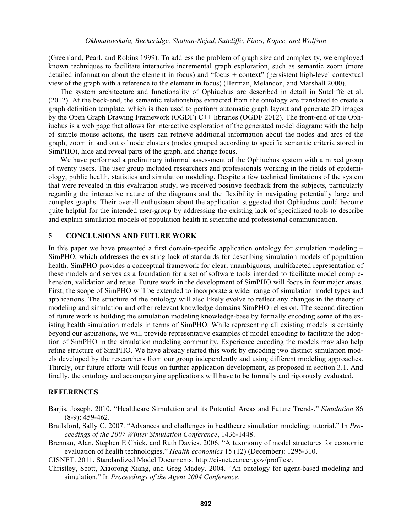(Greenland, Pearl, and Robins 1999). To address the problem of graph size and complexity, we employed known techniques to facilitate interactive incremental graph exploration, such as semantic zoom (more detailed information about the element in focus) and "focus + context" (persistent high-level contextual view of the graph with a reference to the element in focus) (Herman, Melancon, and Marshall 2000).

The system architecture and functionality of Ophiuchus are described in detail in Sutcliffe et al. (2012). At the beck-end, the semantic relationships extracted from the ontology are translated to create a graph definition template, which is then used to perform automatic graph layout and generate 2D images by the Open Graph Drawing Framework (OGDF) C++ libraries (OGDF 2012). The front-end of the Ophiuchus is a web page that allows for interactive exploration of the generated model diagram: with the help of simple mouse actions, the users can retrieve additional information about the nodes and arcs of the graph, zoom in and out of node clusters (nodes grouped according to specific semantic criteria stored in SimPHO), hide and reveal parts of the graph, and change focus.

We have performed a preliminary informal assessment of the Ophiuchus system with a mixed group of twenty users. The user group included researchers and professionals working in the fields of epidemiology, public health, statistics and simulation modeling. Despite a few technical limitations of the system that were revealed in this evaluation study, we received positive feedback from the subjects, particularly regarding the interactive nature of the diagrams and the flexibility in navigating potentially large and complex graphs. Their overall enthusiasm about the application suggested that Ophiuchus could become quite helpful for the intended user-group by addressing the existing lack of specialized tools to describe and explain simulation models of population health in scientific and professional communication.

#### **5 CONCLUSIONS AND FUTURE WORK**

In this paper we have presented a first domain-specific application ontology for simulation modeling – SimPHO, which addresses the existing lack of standards for describing simulation models of population health. SimPHO provides a conceptual framework for clear, unambiguous, multifaceted representation of these models and serves as a foundation for a set of software tools intended to facilitate model comprehension, validation and reuse. Future work in the development of SimPHO will focus in four major areas. First, the scope of SimPHO will be extended to incorporate a wider range of simulation model types and applications. The structure of the ontology will also likely evolve to reflect any changes in the theory of modeling and simulation and other relevant knowledge domains SimPHO relies on. The second direction of future work is building the simulation modeling knowledge-base by formally encoding some of the existing health simulation models in terms of SimPHO. While representing all existing models is certainly beyond our aspirations, we will provide representative examples of model encoding to facilitate the adoption of SimPHO in the simulation modeling community. Experience encoding the models may also help refine structure of SimPHO. We have already started this work by encoding two distinct simulation models developed by the researchers from our group independently and using different modeling approaches. Thirdly, our future efforts will focus on further application development, as proposed in section 3.1. And finally, the ontology and accompanying applications will have to be formally and rigorously evaluated.

## **REFERENCES**

Barjis, Joseph. 2010. "Healthcare Simulation and its Potential Areas and Future Trends." *Simulation* 86 (8-9): 459-462.

Brailsford, Sally C. 2007. "Advances and challenges in healthcare simulation modeling: tutorial." In *Proceedings of the 2007 Winter Simulation Conference*, 1436-1448.

Brennan, Alan, Stephen E Chick, and Ruth Davies. 2006. "A taxonomy of model structures for economic evaluation of health technologies." *Health economics* 15 (12) (December): 1295-310.

CISNET. 2011. Standardized Model Documents. http://cisnet.cancer.gov/profiles/.

Christley, Scott, Xiaorong Xiang, and Greg Madey. 2004. "An ontology for agent-based modeling and simulation." In *Proceedings of the Agent 2004 Conference*.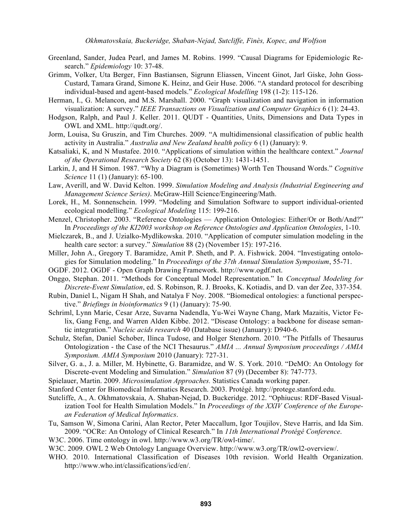- Greenland, Sander, Judea Pearl, and James M. Robins. 1999. "Causal Diagrams for Epidemiologic Research." *Epidemiology* 10: 37-48.
- Grimm, Volker, Uta Berger, Finn Bastiansen, Sigrunn Eliassen, Vincent Ginot, Jarl Giske, John Goss-Custard, Tamara Grand, Simone K. Heinz, and Geir Huse. 2006. "A standard protocol for describing individual-based and agent-based models." *Ecological Modelling* 198 (1-2): 115-126.
- Herman, I., G. Melancon, and M.S. Marshall. 2000. "Graph visualization and navigation in information visualization: A survey." *IEEE Transactions on Visualization and Computer Graphics* 6 (1): 24-43.
- Hodgson, Ralph, and Paul J. Keller. 2011. QUDT Quantities, Units, Dimensions and Data Types in OWL and XML. http://qudt.org/.
- Jorm, Louisa, Su Gruszin, and Tim Churches. 2009. "A multidimensional classification of public health activity in Australia." *Australia and New Zealand health policy* 6 (1) (January): 9.
- Katsaliaki, K, and N Mustafee. 2010. "Applications of simulation within the healthcare context." *Journal of the Operational Research Society* 62 (8) (October 13): 1431-1451.
- Larkin, J, and H Simon. 1987. "Why a Diagram is (Sometimes) Worth Ten Thousand Words." *Cognitive Science* 11 (1) (January): 65-100.
- Law, Averill, and W. David Kelton. 1999. *Simulation Modeling and Analysis (Industrial Engineering and Management Science Series)*. McGraw-Hill Science/Engineering/Math.
- Lorek, H., M. Sonnenschein. 1999. "Modeling and Simulation Software to support individual-oriented ecological modelling." *Ecological Modeling* 115: 199-216.
- Menzel, Christopher. 2003. "Reference Ontologies Application Ontologies: Either/Or or Both/And?" In *Proceedings of the KI2003 workshop on Reference Ontologies and Application Ontologies*, 1-10.
- Mielczarek, B., and J. Uzialko-Mydlikowska. 2010. "Application of computer simulation modeling in the health care sector: a survey." *Simulation* 88 (2) (November 15): 197-216.
- Miller, John A., Gregory T. Baramidze, Amit P. Sheth, and P. A. Fishwick. 2004. "Investigating ontologies for Simulation modeling." In *Proceedings of the 37th Annual Simulation Symposium*, 55-71.
- OGDF. 2012. OGDF Open Graph Drawing Framework. http://www.ogdf.net.
- Onggo, Stephan. 2011. "Methods for Conceptual Model Representation." In *Conceptual Modeling for Discrete-Event Simulation*, ed. S. Robinson, R. J. Brooks, K. Kotiadis, and D. van der Zee, 337-354.
- Rubin, Daniel L, Nigam H Shah, and Natalya F Noy. 2008. "Biomedical ontologies: a functional perspective." *Briefings in bioinformatics* 9 (1) (January): 75-90.
- Schriml, Lynn Marie, Cesar Arze, Suvarna Nadendla, Yu-Wei Wayne Chang, Mark Mazaitis, Victor Felix, Gang Feng, and Warren Alden Kibbe. 2012. "Disease Ontology: a backbone for disease semantic integration." *Nucleic acids research* 40 (Database issue) (January): D940-6.
- Schulz, Stefan, Daniel Schober, Ilinca Tudose, and Holger Stenzhorn. 2010. "The Pitfalls of Thesaurus Ontologization - the Case of the NCI Thesaurus." *AMIA ... Annual Symposium proceedings / AMIA Symposium. AMIA Symposium* 2010 (January): 727-31.
- Silver, G. a., J. a. Miller, M. Hybinette, G. Baramidze, and W. S. York. 2010. "DeMO: An Ontology for Discrete-event Modeling and Simulation." *Simulation* 87 (9) (December 8): 747-773.
- Spielauer, Martin. 2009. *Microsimulation Approaches.* Statistics Canada working paper.
- Stanford Center for Biomedical Informatics Research. 2003. Protégé. http://protege.stanford.edu.
- Sutcliffe, A., A. Okhmatovskaia, A. Shaban-Nejad, D. Buckeridge. 2012. "Ophiucus: RDF-Based Visualization Tool for Health Simulation Models." In *Proceedings of the XXIV Conference of the European Federation of Medical Informatics*.
- Tu, Samson W, Simona Carini, Alan Rector, Peter Maccallum, Igor Toujilov, Steve Harris, and Ida Sim. 2009. "OCRe: An Ontology of Clinical Research." In *11th International Protégé Conference*.
- W3C. 2006. Time ontology in owl. http://www.w3.org/TR/owl-time/.
- W3C. 2009. OWL 2 Web Ontology Language Overview. http://www.w3.org/TR/owl2-overview/.
- WHO. 2010. International Classification of Diseases 10th revision. World Health Organization. http://www.who.int/classifications/icd/en/.